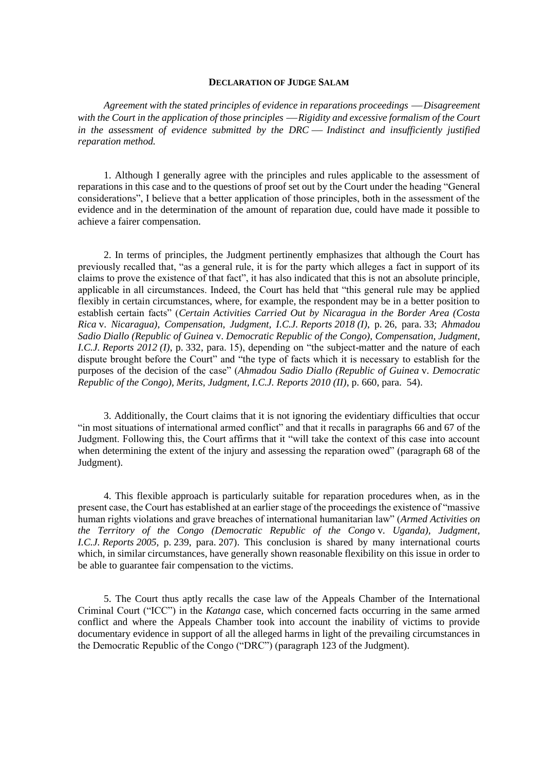## **DECLARATION OF JUDGE SALAM**

*Agreement with the stated principles of evidence in reparations proceedings — Disagreement* with the Court in the application of those principles — Rigidity and excessive formalism of the Court *in the assessment of evidence submitted by the DRC — Indistinct and insufficiently justified reparation method.*

1. Although I generally agree with the principles and rules applicable to the assessment of reparations in this case and to the questions of proof set out by the Court under the heading "General considerations", I believe that a better application of those principles, both in the assessment of the evidence and in the determination of the amount of reparation due, could have made it possible to achieve a fairer compensation.

2. In terms of principles, the Judgment pertinently emphasizes that although the Court has previously recalled that, "as a general rule, it is for the party which alleges a fact in support of its claims to prove the existence of that fact", it has also indicated that this is not an absolute principle, applicable in all circumstances. Indeed, the Court has held that "this general rule may be applied flexibly in certain circumstances, where, for example, the respondent may be in a better position to establish certain facts" (*Certain Activities Carried Out by Nicaragua in the Border Area (Costa Rica* v. *Nicaragua), Compensation, Judgment, I.C.J. Reports 2018 (I)*, p. 26, para. 33; *Ahmadou Sadio Diallo (Republic of Guinea* v. *Democratic Republic of the Congo), Compensation, Judgment, I.C.J. Reports 2012 (I)*, p. 332, para. 15), depending on "the subject-matter and the nature of each dispute brought before the Court" and "the type of facts which it is necessary to establish for the purposes of the decision of the case" (*Ahmadou Sadio Diallo (Republic of Guinea* v. *Democratic Republic of the Congo), Merits, Judgment, I.C.J. Reports 2010 (II)*, p. 660, para. 54).

3. Additionally, the Court claims that it is not ignoring the evidentiary difficulties that occur "in most situations of international armed conflict" and that it recalls in paragraphs 66 and 67 of the Judgment. Following this, the Court affirms that it "will take the context of this case into account when determining the extent of the injury and assessing the reparation owed" (paragraph 68 of the Judgment).

4. This flexible approach is particularly suitable for reparation procedures when, as in the present case, the Court has established at an earlier stage of the proceedings the existence of "massive human rights violations and grave breaches of international humanitarian law" (*Armed Activities on the Territory of the Congo (Democratic Republic of the Congo* v. *Uganda), Judgment, I.C.J. Reports 2005*, p. 239, para. 207). This conclusion is shared by many international courts which, in similar circumstances, have generally shown reasonable flexibility on this issue in order to be able to guarantee fair compensation to the victims.

5. The Court thus aptly recalls the case law of the Appeals Chamber of the International Criminal Court ("ICC") in the *Katanga* case, which concerned facts occurring in the same armed conflict and where the Appeals Chamber took into account the inability of victims to provide documentary evidence in support of all the alleged harms in light of the prevailing circumstances in the Democratic Republic of the Congo ("DRC") (paragraph 123 of the Judgment).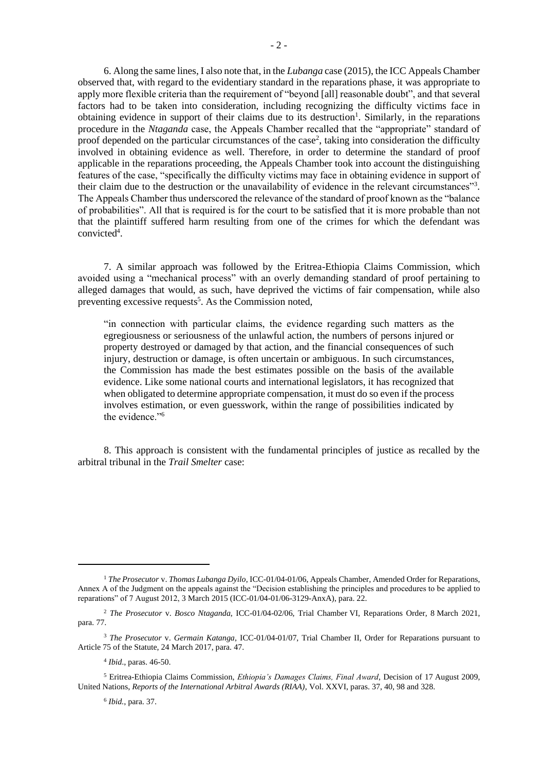6. Along the same lines, I also note that, in the *Lubanga* case (2015), the ICC Appeals Chamber observed that, with regard to the evidentiary standard in the reparations phase, it was appropriate to apply more flexible criteria than the requirement of "beyond [all] reasonable doubt", and that several factors had to be taken into consideration, including recognizing the difficulty victims face in obtaining evidence in support of their claims due to its destruction<sup>1</sup>. Similarly, in the reparations procedure in the *Ntaganda* case, the Appeals Chamber recalled that the "appropriate" standard of proof depended on the particular circumstances of the case<sup>2</sup>, taking into consideration the difficulty involved in obtaining evidence as well. Therefore, in order to determine the standard of proof applicable in the reparations proceeding, the Appeals Chamber took into account the distinguishing features of the case, "specifically the difficulty victims may face in obtaining evidence in support of their claim due to the destruction or the unavailability of evidence in the relevant circumstances"<sup>3</sup>. The Appeals Chamber thus underscored the relevance of the standard of proof known as the "balance of probabilities". All that is required is for the court to be satisfied that it is more probable than not that the plaintiff suffered harm resulting from one of the crimes for which the defendant was convicted<sup>4</sup>.

7. A similar approach was followed by the Eritrea-Ethiopia Claims Commission, which avoided using a "mechanical process" with an overly demanding standard of proof pertaining to alleged damages that would, as such, have deprived the victims of fair compensation, while also preventing excessive requests<sup>5</sup>. As the Commission noted,

"in connection with particular claims, the evidence regarding such matters as the egregiousness or seriousness of the unlawful action, the numbers of persons injured or property destroyed or damaged by that action, and the financial consequences of such injury, destruction or damage, is often uncertain or ambiguous. In such circumstances, the Commission has made the best estimates possible on the basis of the available evidence. Like some national courts and international legislators, it has recognized that when obligated to determine appropriate compensation, it must do so even if the process involves estimation, or even guesswork, within the range of possibilities indicated by the evidence."<sup>6</sup>

8. This approach is consistent with the fundamental principles of justice as recalled by the arbitral tribunal in the *Trail Smelter* case:

6 *Ibid.*, para. 37.

<sup>1</sup> *The Prosecutor* v. *Thomas Lubanga Dyilo*, ICC-01/04-01/06, Appeals Chamber, Amended Order for Reparations, Annex A of the Judgment on the appeals against the "Decision establishing the principles and procedures to be applied to reparations" of 7 August 2012, 3 March 2015 (ICC-01/04-01/06-3129-AnxA), para. 22.

<sup>2</sup> *The Prosecutor* v. *Bosco Ntaganda*, ICC-01/04-02/06, Trial Chamber VI, Reparations Order, 8 March 2021, para. 77.

<sup>3</sup> *The Prosecutor* v. *Germain Katanga*, ICC-01/04-01/07, Trial Chamber II, Order for Reparations pursuant to Article 75 of the Statute, 24 March 2017, para. 47.

<sup>4</sup> *Ibid*., paras. 46-50.

<sup>5</sup> Eritrea-Ethiopia Claims Commission, *Ethiopia's Damages Claims, Final Award*, Decision of 17 August 2009, United Nations, *Reports of the International Arbitral Awards (RIAA)*, Vol. XXVI, paras. 37, 40, 98 and 328.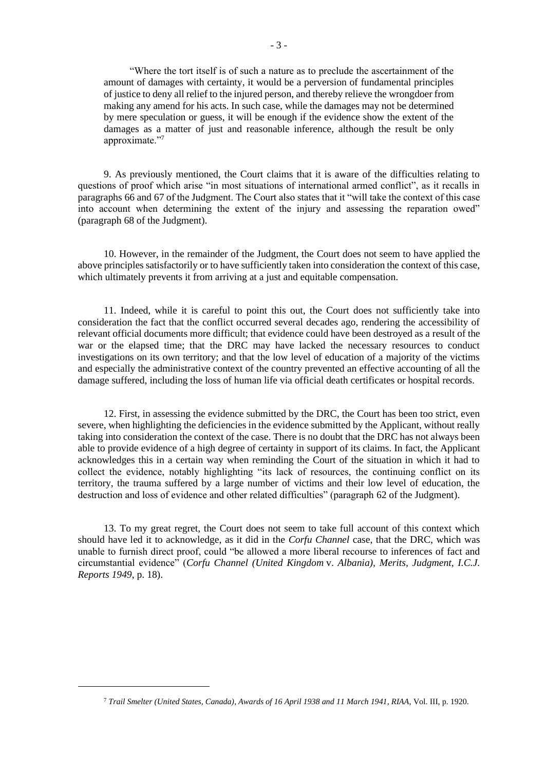"Where the tort itself is of such a nature as to preclude the ascertainment of the amount of damages with certainty, it would be a perversion of fundamental principles of justice to deny all relief to the injured person, and thereby relieve the wrongdoer from making any amend for his acts. In such case, while the damages may not be determined by mere speculation or guess, it will be enough if the evidence show the extent of the damages as a matter of just and reasonable inference, although the result be only approximate."<sup>7</sup>

9. As previously mentioned, the Court claims that it is aware of the difficulties relating to questions of proof which arise "in most situations of international armed conflict", as it recalls in paragraphs 66 and 67 of the Judgment. The Court also states that it "will take the context of this case into account when determining the extent of the injury and assessing the reparation owed" (paragraph 68 of the Judgment).

10. However, in the remainder of the Judgment, the Court does not seem to have applied the above principles satisfactorily or to have sufficiently taken into consideration the context of this case, which ultimately prevents it from arriving at a just and equitable compensation.

11. Indeed, while it is careful to point this out, the Court does not sufficiently take into consideration the fact that the conflict occurred several decades ago, rendering the accessibility of relevant official documents more difficult; that evidence could have been destroyed as a result of the war or the elapsed time; that the DRC may have lacked the necessary resources to conduct investigations on its own territory; and that the low level of education of a majority of the victims and especially the administrative context of the country prevented an effective accounting of all the damage suffered, including the loss of human life via official death certificates or hospital records.

12. First, in assessing the evidence submitted by the DRC, the Court has been too strict, even severe, when highlighting the deficiencies in the evidence submitted by the Applicant, without really taking into consideration the context of the case. There is no doubt that the DRC has not always been able to provide evidence of a high degree of certainty in support of its claims. In fact, the Applicant acknowledges this in a certain way when reminding the Court of the situation in which it had to collect the evidence, notably highlighting "its lack of resources, the continuing conflict on its territory, the trauma suffered by a large number of victims and their low level of education, the destruction and loss of evidence and other related difficulties" (paragraph 62 of the Judgment).

13. To my great regret, the Court does not seem to take full account of this context which should have led it to acknowledge, as it did in the *Corfu Channel* case, that the DRC, which was unable to furnish direct proof, could "be allowed a more liberal recourse to inferences of fact and circumstantial evidence" (*Corfu Channel (United Kingdom* v. *Albania), Merits, Judgment, I.C.J. Reports 1949*, p. 18).

<sup>7</sup> *Trail Smelter (United States, Canada)*, *Awards of 16 April 1938 and 11 March 1941*, *RIAA*, Vol. III, p. 1920.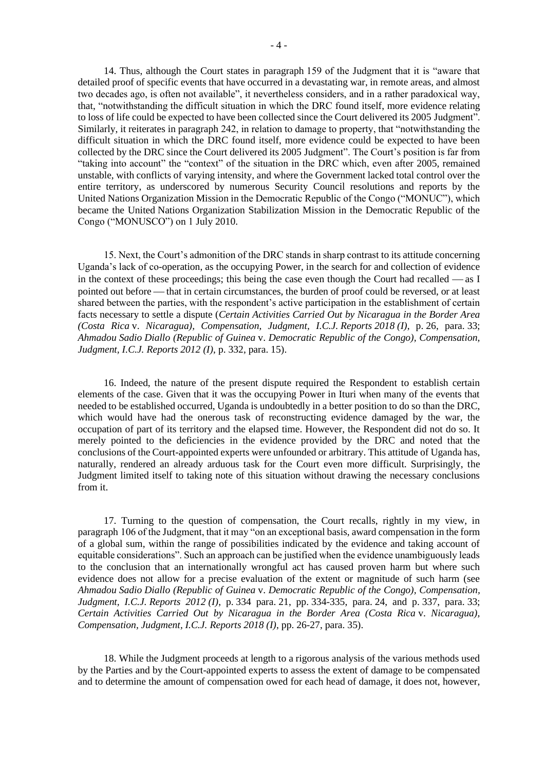difficult situation in which the DRC found itself, more evidence could be expected to have been collected by the DRC since the Court delivered its 2005 Judgment". The Court's position is far from "taking into account" the "context" of the situation in the DRC which, even after 2005, remained unstable, with conflicts of varying intensity, and where the Government lacked total control over the entire territory, as underscored by numerous Security Council resolutions and reports by the United Nations Organization Mission in the Democratic Republic of the Congo ("MONUC"), which became the United Nations Organization Stabilization Mission in the Democratic Republic of the Congo ("MONUSCO") on 1 July 2010.

15. Next, the Court's admonition of the DRC stands in sharp contrast to its attitude concerning Uganda's lack of co-operation, as the occupying Power, in the search for and collection of evidence in the context of these proceedings; this being the case even though the Court had recalled  $\sim$  as I pointed out before — that in certain circumstances, the burden of proof could be reversed, or at least shared between the parties, with the respondent's active participation in the establishment of certain facts necessary to settle a dispute (*Certain Activities Carried Out by Nicaragua in the Border Area (Costa Rica* v. *Nicaragua), Compensation, Judgment, I.C.J. Reports 2018 (I)*, p. 26, para. 33; *Ahmadou Sadio Diallo (Republic of Guinea* v. *Democratic Republic of the Congo), Compensation, Judgment, I.C.J. Reports 2012 (I)*, p. 332, para. 15).

16. Indeed, the nature of the present dispute required the Respondent to establish certain elements of the case. Given that it was the occupying Power in Ituri when many of the events that needed to be established occurred, Uganda is undoubtedly in a better position to do so than the DRC, which would have had the onerous task of reconstructing evidence damaged by the war, the occupation of part of its territory and the elapsed time. However, the Respondent did not do so. It merely pointed to the deficiencies in the evidence provided by the DRC and noted that the conclusions of the Court-appointed experts were unfounded or arbitrary. This attitude of Uganda has, naturally, rendered an already arduous task for the Court even more difficult. Surprisingly, the Judgment limited itself to taking note of this situation without drawing the necessary conclusions from it.

17. Turning to the question of compensation, the Court recalls, rightly in my view, in paragraph 106 of the Judgment, that it may "on an exceptional basis, award compensation in the form of a global sum, within the range of possibilities indicated by the evidence and taking account of equitable considerations". Such an approach can be justified when the evidence unambiguously leads to the conclusion that an internationally wrongful act has caused proven harm but where such evidence does not allow for a precise evaluation of the extent or magnitude of such harm (see *Ahmadou Sadio Diallo (Republic of Guinea* v. *Democratic Republic of the Congo), Compensation, Judgment, I.C.J. Reports 2012 (I)*, p. 334 para. 21, pp. 334-335, para. 24, and p. 337, para. 33; *Certain Activities Carried Out by Nicaragua in the Border Area (Costa Rica* v. *Nicaragua), Compensation, Judgment, I.C.J. Reports 2018 (I)*, pp. 26-27, para. 35).

18. While the Judgment proceeds at length to a rigorous analysis of the various methods used by the Parties and by the Court-appointed experts to assess the extent of damage to be compensated and to determine the amount of compensation owed for each head of damage, it does not, however,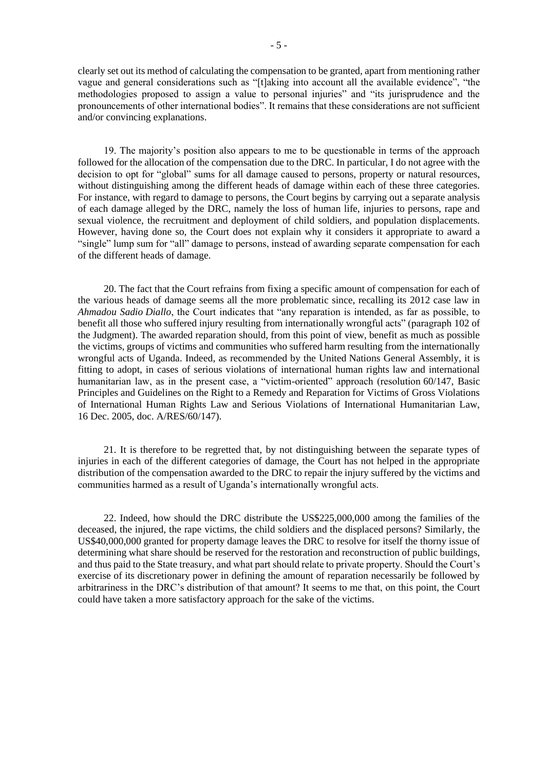clearly set out its method of calculating the compensation to be granted, apart from mentioning rather vague and general considerations such as "[t]aking into account all the available evidence", "the methodologies proposed to assign a value to personal injuries" and "its jurisprudence and the pronouncements of other international bodies". It remains that these considerations are not sufficient and/or convincing explanations.

19. The majority's position also appears to me to be questionable in terms of the approach followed for the allocation of the compensation due to the DRC. In particular, I do not agree with the decision to opt for "global" sums for all damage caused to persons, property or natural resources, without distinguishing among the different heads of damage within each of these three categories. For instance, with regard to damage to persons, the Court begins by carrying out a separate analysis of each damage alleged by the DRC, namely the loss of human life, injuries to persons, rape and sexual violence, the recruitment and deployment of child soldiers, and population displacements. However, having done so, the Court does not explain why it considers it appropriate to award a "single" lump sum for "all" damage to persons, instead of awarding separate compensation for each of the different heads of damage.

20. The fact that the Court refrains from fixing a specific amount of compensation for each of the various heads of damage seems all the more problematic since, recalling its 2012 case law in *Ahmadou Sadio Diallo*, the Court indicates that "any reparation is intended, as far as possible, to benefit all those who suffered injury resulting from internationally wrongful acts" (paragraph 102 of the Judgment). The awarded reparation should, from this point of view, benefit as much as possible the victims, groups of victims and communities who suffered harm resulting from the internationally wrongful acts of Uganda. Indeed, as recommended by the United Nations General Assembly, it is fitting to adopt, in cases of serious violations of international human rights law and international humanitarian law, as in the present case, a "victim-oriented" approach (resolution 60/147, Basic Principles and Guidelines on the Right to a Remedy and Reparation for Victims of Gross Violations of International Human Rights Law and Serious Violations of International Humanitarian Law, 16 Dec. 2005, doc. A/RES/60/147).

21. It is therefore to be regretted that, by not distinguishing between the separate types of injuries in each of the different categories of damage, the Court has not helped in the appropriate distribution of the compensation awarded to the DRC to repair the injury suffered by the victims and communities harmed as a result of Uganda's internationally wrongful acts.

22. Indeed, how should the DRC distribute the US\$225,000,000 among the families of the deceased, the injured, the rape victims, the child soldiers and the displaced persons? Similarly, the US\$40,000,000 granted for property damage leaves the DRC to resolve for itself the thorny issue of determining what share should be reserved for the restoration and reconstruction of public buildings, and thus paid to the State treasury, and what part should relate to private property. Should the Court's exercise of its discretionary power in defining the amount of reparation necessarily be followed by arbitrariness in the DRC's distribution of that amount? It seems to me that, on this point, the Court could have taken a more satisfactory approach for the sake of the victims.